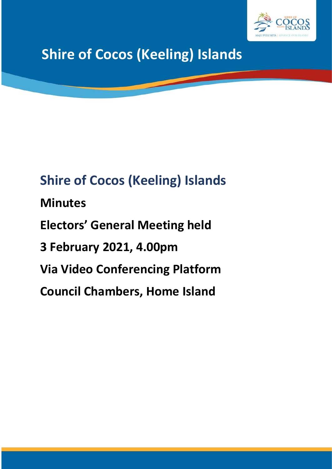

## **Shire of Cocos (Keeling) Islands**

# **Shire of Cocos (Keeling) Islands Minutes Electors' General Meeting held 3 February 2021, 4.00pm Via Video Conferencing Platform Council Chambers, Home Island**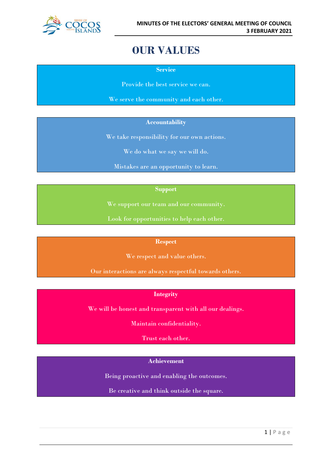

### **OUR VALUES**

**Service**

Provide the best service we can.

We serve the community and each other.

#### **Accountability**

We take responsibility for our own actions.

We do what we say we will do.

Mistakes are an opportunity to learn.

#### **Support**

We support our team and our community.

Look for opportunities to help each other.

#### **Respect**

We respect and value others.

Our interactions are always respectful towards others.

#### **Integrity**

We will be honest and transparent with all our dealings.

Maintain confidentiality.

Trust each other.

#### **Achievement**

Being proactive and enabling the outcomes.

Be creative and think outside the square.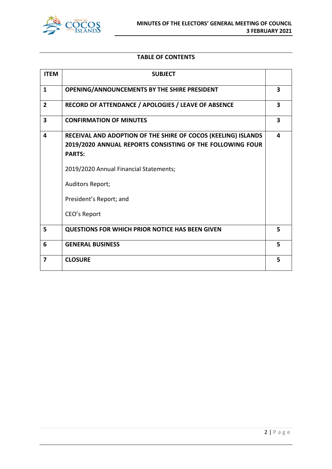

#### **TABLE OF CONTENTS**

| <b>ITEM</b>             | <b>SUBJECT</b>                                                                                                                                                                                                                                       |   |
|-------------------------|------------------------------------------------------------------------------------------------------------------------------------------------------------------------------------------------------------------------------------------------------|---|
| $\mathbf{1}$            | OPENING/ANNOUNCEMENTS BY THE SHIRE PRESIDENT                                                                                                                                                                                                         | 3 |
| $\mathbf{2}$            | RECORD OF ATTENDANCE / APOLOGIES / LEAVE OF ABSENCE                                                                                                                                                                                                  | 3 |
| $\overline{\mathbf{3}}$ | <b>CONFIRMATION OF MINUTES</b>                                                                                                                                                                                                                       | 3 |
| 4                       | RECEIVAL AND ADOPTION OF THE SHIRE OF COCOS (KEELING) ISLANDS<br>2019/2020 ANNUAL REPORTS CONSISTING OF THE FOLLOWING FOUR<br><b>PARTS:</b><br>2019/2020 Annual Financial Statements;<br>Auditors Report;<br>President's Report; and<br>CEO's Report | 4 |
| 5                       | <b>QUESTIONS FOR WHICH PRIOR NOTICE HAS BEEN GIVEN</b>                                                                                                                                                                                               | 5 |
| 6                       | <b>GENERAL BUSINESS</b>                                                                                                                                                                                                                              | 5 |
| $\overline{7}$          | <b>CLOSURE</b>                                                                                                                                                                                                                                       | 5 |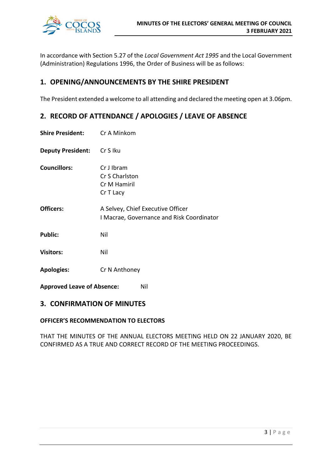

In accordance with Section 5.27 of the *Local Government Act 1995* and the Local Government (Administration) Regulations 1996, the Order of Business will be as follows:

#### **1. OPENING/ANNOUNCEMENTS BY THE SHIRE PRESIDENT**

The President extended a welcome to all attending and declared the meeting open at 3.06pm.

#### **2. RECORD OF ATTENDANCE / APOLOGIES / LEAVE OF ABSENCE**

- **Shire President:** Cr A Minkom
- **Deputy President:** Cr S Iku
- **Councillors:** Cr J Ibram Cr S Charlston Cr M Hamiril Cr T Lacy
- **Officers:** A Selvey, Chief Executive Officer I Macrae, Governance and Risk Coordinator
- Public: Nil
- **Visitors:** Nil
- **Apologies:** Cr N Anthoney
- **Approved Leave of Absence:** Nil

#### **3. CONFIRMATION OF MINUTES**

#### **OFFICER'S RECOMMENDATION TO ELECTORS**

THAT THE MINUTES OF THE ANNUAL ELECTORS MEETING HELD ON 22 JANUARY 2020, BE CONFIRMED AS A TRUE AND CORRECT RECORD OF THE MEETING PROCEEDINGS.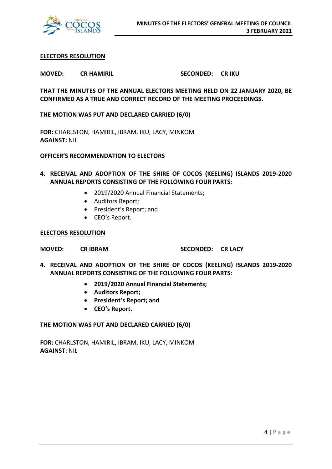

#### **ELECTORS RESOLUTION**

**MOVED: CR HAMIRIL SECONDED: CR IKU**

**THAT THE MINUTES OF THE ANNUAL ELECTORS MEETING HELD ON 22 JANUARY 2020, BE CONFIRMED AS A TRUE AND CORRECT RECORD OF THE MEETING PROCEEDINGS.**

**THE MOTION WAS PUT AND DECLARED CARRIED (6/0)**

**FOR:** CHARLSTON, HAMIRIL, IBRAM, IKU, LACY, MINKOM **AGAINST:** NIL

**OFFICER'S RECOMMENDATION TO ELECTORS**

- **4. RECEIVAL AND ADOPTION OF THE SHIRE OF COCOS (KEELING) ISLANDS 2019-2020 ANNUAL REPORTS CONSISTING OF THE FOLLOWING FOUR PARTS:**
	- 2019/2020 Annual Financial Statements;
	- Auditors Report;
	- President's Report; and
	- CEO's Report.

#### **ELECTORS RESOLUTION**

**MOVED: CR IBRAM SECONDED: CR LACY**

- **4. RECEIVAL AND ADOPTION OF THE SHIRE OF COCOS (KEELING) ISLANDS 2019-2020 ANNUAL REPORTS CONSISTING OF THE FOLLOWING FOUR PARTS:**
	- **2019/2020 Annual Financial Statements;**
	- **Auditors Report;**
	- **President's Report; and**
	- **CEO's Report.**

#### **THE MOTION WAS PUT AND DECLARED CARRIED (6/0)**

**FOR:** CHARLSTON, HAMIRIL, IBRAM, IKU, LACY, MINKOM **AGAINST:** NIL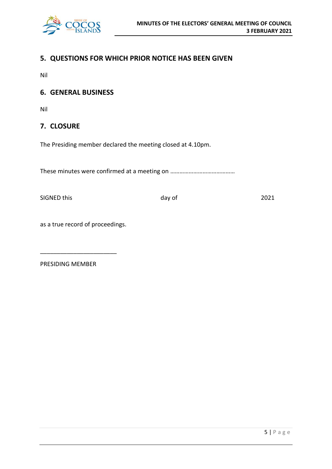

#### **5. QUESTIONS FOR WHICH PRIOR NOTICE HAS BEEN GIVEN**

Nil

#### **6. GENERAL BUSINESS**

Nil

#### **7. CLOSURE**

The Presiding member declared the meeting closed at 4.10pm.

These minutes were confirmed at a meeting on ……………………………………

SIGNED this day of 2021

as a true record of proceedings.

\_\_\_\_\_\_\_\_\_\_\_\_\_\_\_\_\_\_\_\_\_\_\_

PRESIDING MEMBER